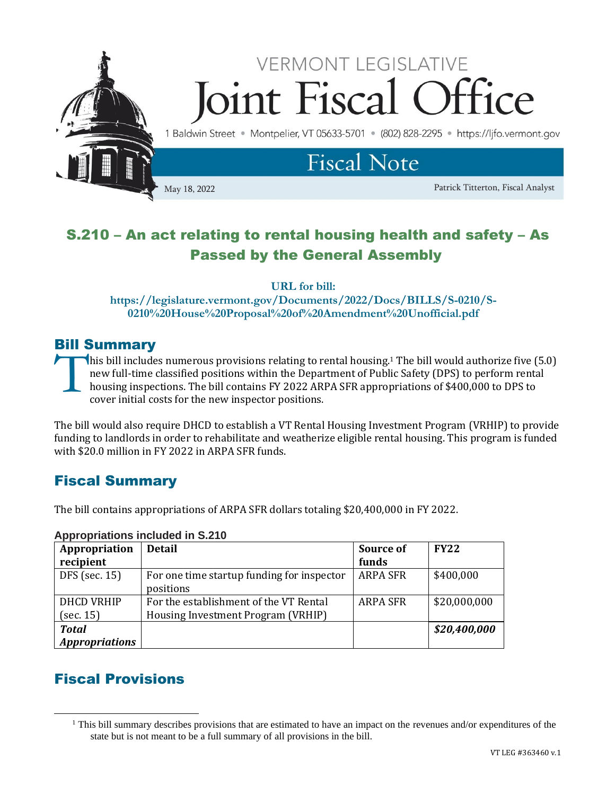

# S.210 – An act relating to rental housing health and safety – As Passed by the General Assembly

**URL for bill:** 

**https://legislature.vermont.gov/Documents/2022/Docs/BILLS/S-0210/S-0210%20House%20Proposal%20of%20Amendment%20Unofficial.pdf**

### Bill Summary

his bill includes numerous provisions relating to rental housing.<sup>1</sup> The bill would authorize five (5.0) new full-time classified positions within the Department of Public Safety (DPS) to perform rental housing inspections. The bill contains FY 2022 ARPA SFR appropriations of \$400,000 to DPS to cover initial costs for the new inspector positions. T<br>T

The bill would also require DHCD to establish a VT Rental Housing Investment Program (VRHIP) to provide funding to landlords in order to rehabilitate and weatherize eligible rental housing. This program is funded with \$20.0 million in FY 2022 in ARPA SFR funds.

## Fiscal Summary

The bill contains appropriations of ARPA SFR dollars totaling \$20,400,000 in FY 2022.

| Appropriation         | <b>Detail</b>                              | Source of       | <b>FY22</b>  |
|-----------------------|--------------------------------------------|-----------------|--------------|
| recipient             |                                            | funds           |              |
| DFS (sec. 15)         | For one time startup funding for inspector | <b>ARPA SFR</b> | \$400,000    |
|                       | positions                                  |                 |              |
| <b>DHCD VRHIP</b>     | For the establishment of the VT Rental     | <b>ARPA SFR</b> | \$20,000,000 |
| (sec. 15)             | Housing Investment Program (VRHIP)         |                 |              |
| <b>Total</b>          |                                            |                 | \$20,400,000 |
| <b>Appropriations</b> |                                            |                 |              |

#### **Appropriations included in S.210**

## Fiscal Provisions

<sup>&</sup>lt;sup>1</sup> This bill summary describes provisions that are estimated to have an impact on the revenues and/or expenditures of the state but is not meant to be a full summary of all provisions in the bill.